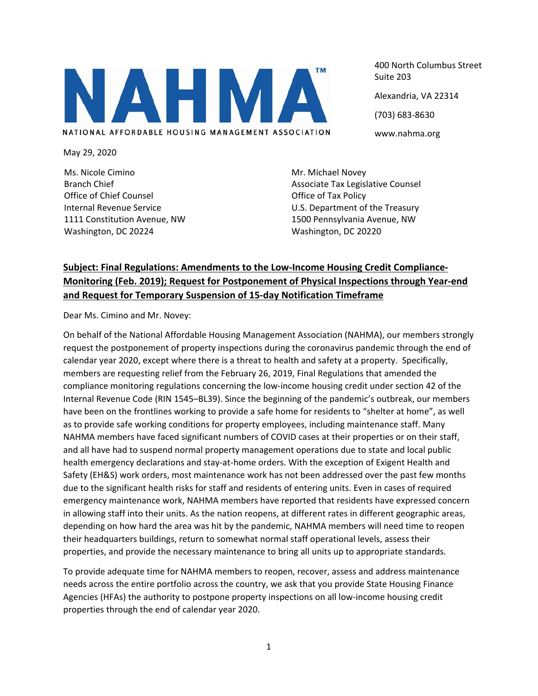

May 29, 2020

Ms. Nicole Cimino Branch Chief Office of Chief Counsel Internal Revenue Service 1111 Constitution Avenue, NW Washington, DC 20224

400 North Columbus Street Suite 203 Alexandria, VA 22314 (703) 683‐8630 www.nahma.org

Mr. Michael Novey Associate Tax Legislative Counsel Office of Tax Policy U.S. Department of the Treasury 1500 Pennsylvania Avenue, NW Washington, DC 20220

## **Subject: Final Regulations: Amendments to the Low‐Income Housing Credit Compliance‐ Monitoring (Feb. 2019); Request for Postponement of Physical Inspections through Year‐end and Request for Temporary Suspension of 15‐day Notification Timeframe**

Dear Ms. Cimino and Mr. Novey:

On behalf of the National Affordable Housing Management Association (NAHMA), our members strongly request the postponement of property inspections during the coronavirus pandemic through the end of calendar year 2020, except where there is a threat to health and safety at a property. Specifically, members are requesting relief from the February 26, 2019, Final Regulations that amended the compliance monitoring regulations concerning the low-income housing credit under section 42 of the Internal Revenue Code (RIN 1545–BL39). Since the beginning of the pandemic's outbreak, our members have been on the frontlines working to provide a safe home for residents to "shelter at home", as well as to provide safe working conditions for property employees, including maintenance staff. Many NAHMA members have faced significant numbers of COVID cases at their properties or on their staff, and all have had to suspend normal property management operations due to state and local public health emergency declarations and stay-at-home orders. With the exception of Exigent Health and Safety (EH&S) work orders, most maintenance work has not been addressed over the past few months due to the significant health risks for staff and residents of entering units. Even in cases of required emergency maintenance work, NAHMA members have reported that residents have expressed concern in allowing staff into their units. As the nation reopens, at different rates in different geographic areas, depending on how hard the area was hit by the pandemic, NAHMA members will need time to reopen their headquarters buildings, return to somewhat normal staff operational levels, assess their properties, and provide the necessary maintenance to bring all units up to appropriate standards.

To provide adequate time for NAHMA members to reopen, recover, assess and address maintenance needs across the entire portfolio across the country, we ask that you provide State Housing Finance Agencies (HFAs) the authority to postpone property inspections on all low‐income housing credit properties through the end of calendar year 2020.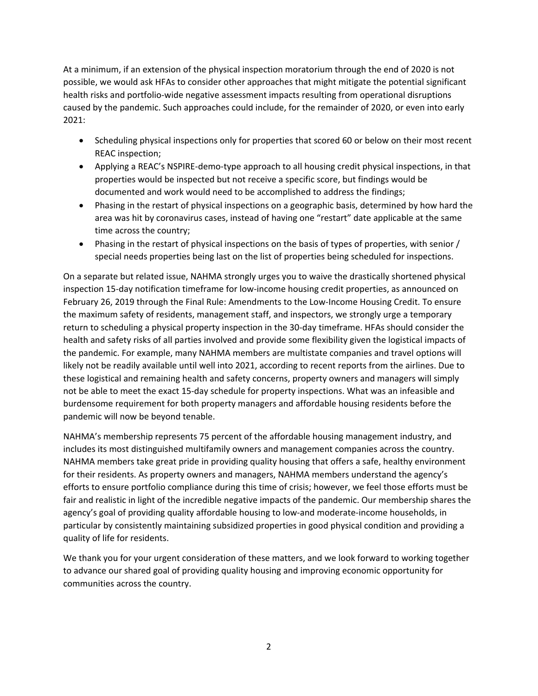At a minimum, if an extension of the physical inspection moratorium through the end of 2020 is not possible, we would ask HFAs to consider other approaches that might mitigate the potential significant health risks and portfolio-wide negative assessment impacts resulting from operational disruptions caused by the pandemic. Such approaches could include, for the remainder of 2020, or even into early 2021:

- Scheduling physical inspections only for properties that scored 60 or below on their most recent REAC inspection;
- Applying a REAC's NSPIRE-demo-type approach to all housing credit physical inspections, in that properties would be inspected but not receive a specific score, but findings would be documented and work would need to be accomplished to address the findings;
- Phasing in the restart of physical inspections on a geographic basis, determined by how hard the area was hit by coronavirus cases, instead of having one "restart" date applicable at the same time across the country;
- Phasing in the restart of physical inspections on the basis of types of properties, with senior / special needs properties being last on the list of properties being scheduled for inspections.

On a separate but related issue, NAHMA strongly urges you to waive the drastically shortened physical inspection 15‐day notification timeframe for low‐income housing credit properties, as announced on February 26, 2019 through the Final Rule: Amendments to the Low‐Income Housing Credit. To ensure the maximum safety of residents, management staff, and inspectors, we strongly urge a temporary return to scheduling a physical property inspection in the 30‐day timeframe. HFAs should consider the health and safety risks of all parties involved and provide some flexibility given the logistical impacts of the pandemic. For example, many NAHMA members are multistate companies and travel options will likely not be readily available until well into 2021, according to recent reports from the airlines. Due to these logistical and remaining health and safety concerns, property owners and managers will simply not be able to meet the exact 15‐day schedule for property inspections. What was an infeasible and burdensome requirement for both property managers and affordable housing residents before the pandemic will now be beyond tenable.

NAHMA's membership represents 75 percent of the affordable housing management industry, and includes its most distinguished multifamily owners and management companies across the country. NAHMA members take great pride in providing quality housing that offers a safe, healthy environment for their residents. As property owners and managers, NAHMA members understand the agency's efforts to ensure portfolio compliance during this time of crisis; however, we feel those efforts must be fair and realistic in light of the incredible negative impacts of the pandemic. Our membership shares the agency's goal of providing quality affordable housing to low‐and moderate‐income households, in particular by consistently maintaining subsidized properties in good physical condition and providing a quality of life for residents.

We thank you for your urgent consideration of these matters, and we look forward to working together to advance our shared goal of providing quality housing and improving economic opportunity for communities across the country.